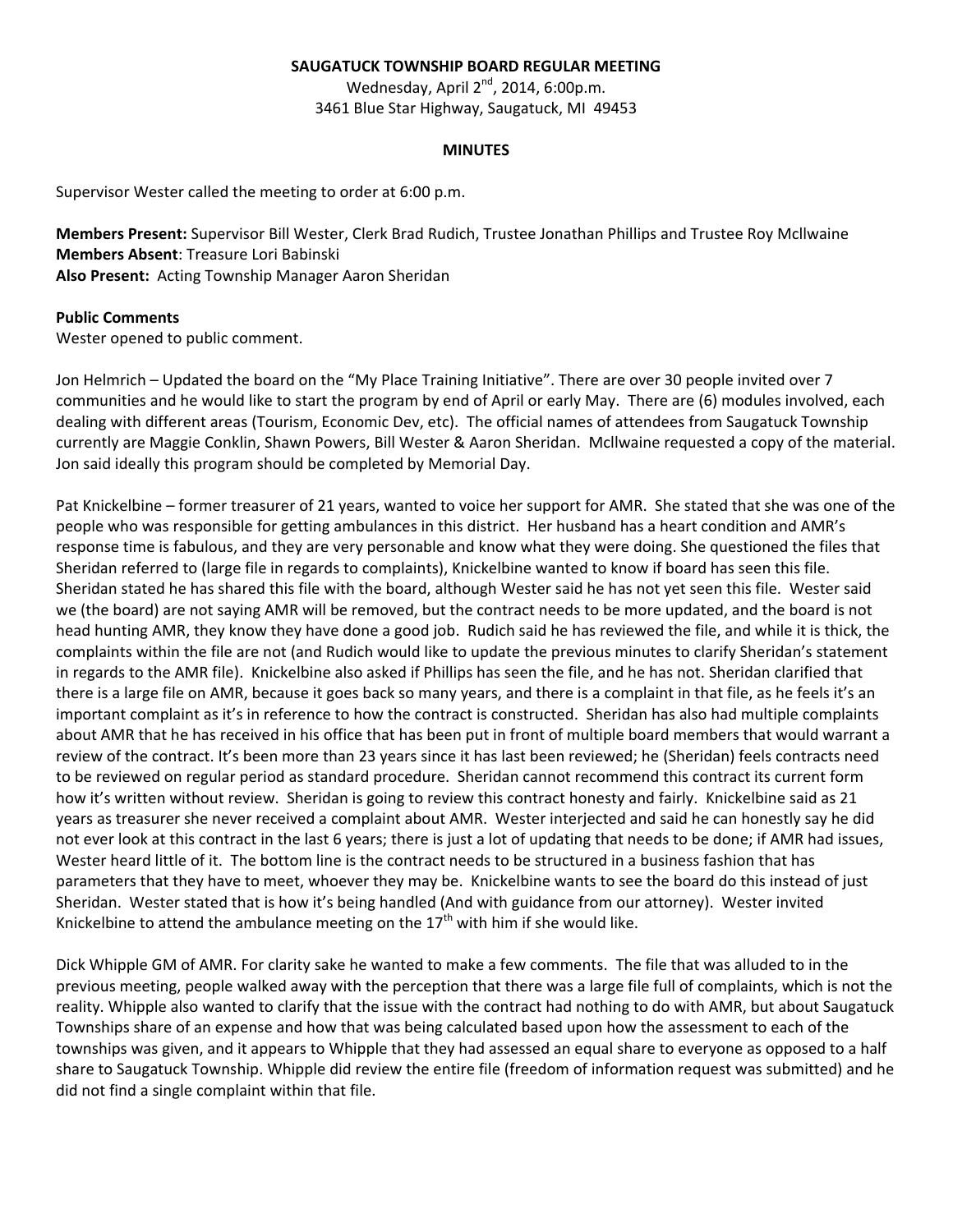### **SAUGATUCK TOWNSHIP BOARD REGULAR MEETING**

Wednesday, April 2<sup>nd</sup>, 2014, 6:00p.m. 3461 Blue Star Highway, Saugatuck, MI 49453

#### **MINUTES**

Supervisor Wester called the meeting to order at 6:00 p.m.

**Members Present:** Supervisor Bill Wester, Clerk Brad Rudich, Trustee Jonathan Phillips and Trustee Roy Mcllwaine **Members Absent**: Treasure Lori Babinski **Also Present:** Acting Township Manager Aaron Sheridan

#### **Public Comments**

Wester opened to public comment.

Jon Helmrich – Updated the board on the "My Place Training Initiative". There are over 30 people invited over 7 communities and he would like to start the program by end of April or early May. There are (6) modules involved, each dealing with different areas (Tourism, Economic Dev, etc). The official names of attendees from Saugatuck Township currently are Maggie Conklin, Shawn Powers, Bill Wester & Aaron Sheridan. Mcllwaine requested a copy of the material. Jon said ideally this program should be completed by Memorial Day.

Pat Knickelbine – former treasurer of 21 years, wanted to voice her support for AMR. She stated that she was one of the people who was responsible for getting ambulances in this district. Her husband has a heart condition and AMR's response time is fabulous, and they are very personable and know what they were doing. She questioned the files that Sheridan referred to (large file in regards to complaints), Knickelbine wanted to know if board has seen this file. Sheridan stated he has shared this file with the board, although Wester said he has not yet seen this file. Wester said we (the board) are not saying AMR will be removed, but the contract needs to be more updated, and the board is not head hunting AMR, they know they have done a good job. Rudich said he has reviewed the file, and while it is thick, the complaints within the file are not (and Rudich would like to update the previous minutes to clarify Sheridan's statement in regards to the AMR file). Knickelbine also asked if Phillips has seen the file, and he has not. Sheridan clarified that there is a large file on AMR, because it goes back so many years, and there is a complaint in that file, as he feels it's an important complaint as it's in reference to how the contract is constructed. Sheridan has also had multiple complaints about AMR that he has received in his office that has been put in front of multiple board members that would warrant a review of the contract. It's been more than 23 years since it has last been reviewed; he (Sheridan) feels contracts need to be reviewed on regular period as standard procedure. Sheridan cannot recommend this contract its current form how it's written without review. Sheridan is going to review this contract honesty and fairly. Knickelbine said as 21 years as treasurer she never received a complaint about AMR. Wester interjected and said he can honestly say he did not ever look at this contract in the last 6 years; there is just a lot of updating that needs to be done; if AMR had issues, Wester heard little of it. The bottom line is the contract needs to be structured in a business fashion that has parameters that they have to meet, whoever they may be. Knickelbine wants to see the board do this instead of just Sheridan. Wester stated that is how it's being handled (And with guidance from our attorney). Wester invited Knickelbine to attend the ambulance meeting on the  $17<sup>th</sup>$  with him if she would like.

Dick Whipple GM of AMR. For clarity sake he wanted to make a few comments. The file that was alluded to in the previous meeting, people walked away with the perception that there was a large file full of complaints, which is not the reality. Whipple also wanted to clarify that the issue with the contract had nothing to do with AMR, but about Saugatuck Townships share of an expense and how that was being calculated based upon how the assessment to each of the townships was given, and it appears to Whipple that they had assessed an equal share to everyone as opposed to a half share to Saugatuck Township. Whipple did review the entire file (freedom of information request was submitted) and he did not find a single complaint within that file.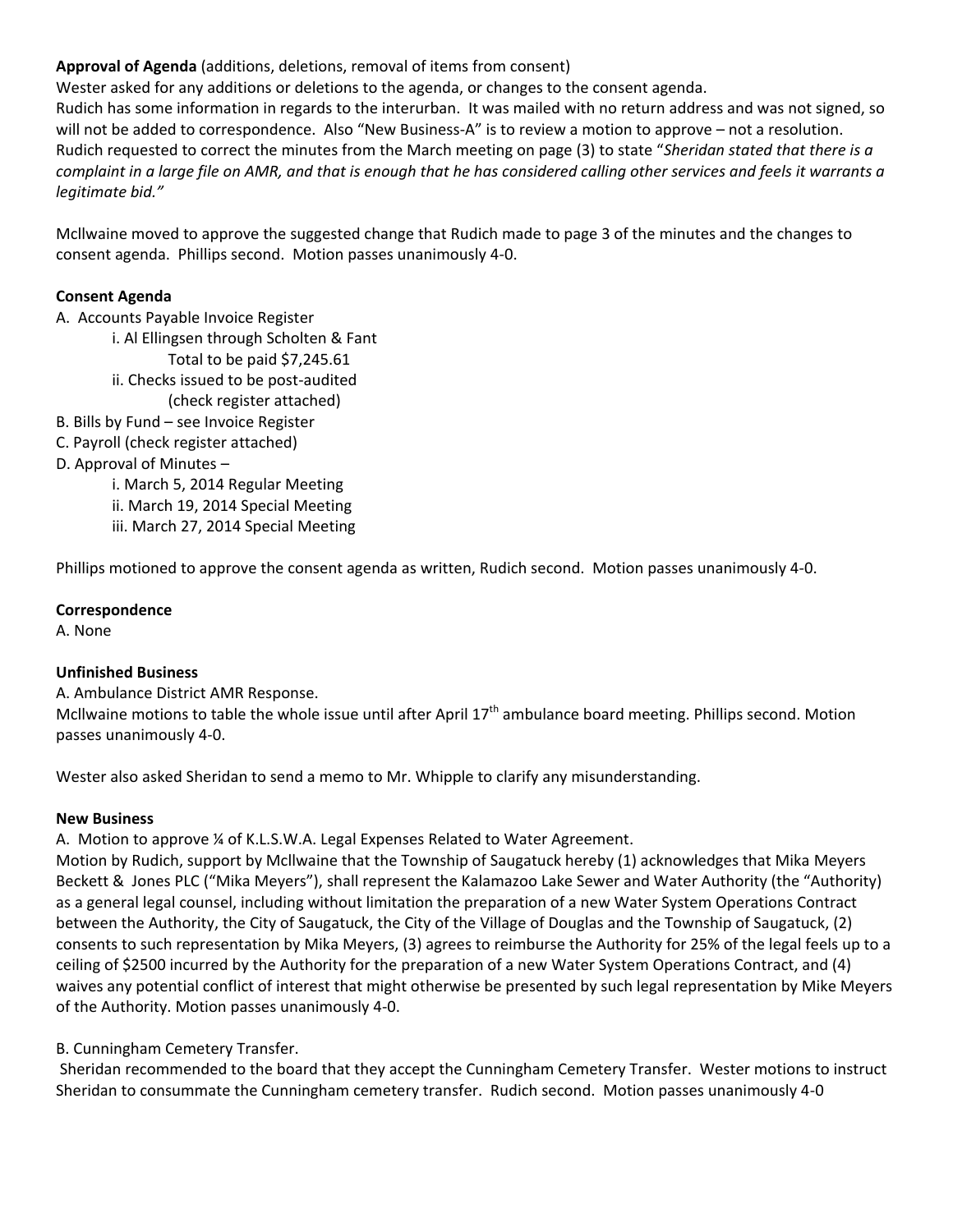# **Approval of Agenda** (additions, deletions, removal of items from consent)

Wester asked for any additions or deletions to the agenda, or changes to the consent agenda. Rudich has some information in regards to the interurban. It was mailed with no return address and was not signed, so will not be added to correspondence. Also "New Business-A" is to review a motion to approve – not a resolution. Rudich requested to correct the minutes from the March meeting on page (3) to state "*Sheridan stated that there is a complaint in a large file on AMR, and that is enough that he has considered calling other services and feels it warrants a legitimate bid."*

Mcllwaine moved to approve the suggested change that Rudich made to page 3 of the minutes and the changes to consent agenda. Phillips second. Motion passes unanimously 4-0.

### **Consent Agenda**

A. Accounts Payable Invoice Register

i. Al Ellingsen through Scholten & Fant

- Total to be paid \$7,245.61
- ii. Checks issued to be post-audited
- (check register attached)
- B. Bills by Fund see Invoice Register
- C. Payroll (check register attached)

# D. Approval of Minutes –

i. March 5, 2014 Regular Meeting

- ii. March 19, 2014 Special Meeting
- iii. March 27, 2014 Special Meeting

Phillips motioned to approve the consent agenda as written, Rudich second. Motion passes unanimously 4-0.

### **Correspondence**

A. None

### **Unfinished Business**

A. Ambulance District AMR Response.

Mcllwaine motions to table the whole issue until after April 17<sup>th</sup> ambulance board meeting. Phillips second. Motion passes unanimously 4-0.

Wester also asked Sheridan to send a memo to Mr. Whipple to clarify any misunderstanding.

### **New Business**

A. Motion to approve ¼ of K.L.S.W.A. Legal Expenses Related to Water Agreement.

Motion by Rudich, support by Mcllwaine that the Township of Saugatuck hereby (1) acknowledges that Mika Meyers Beckett & Jones PLC ("Mika Meyers"), shall represent the Kalamazoo Lake Sewer and Water Authority (the "Authority) as a general legal counsel, including without limitation the preparation of a new Water System Operations Contract between the Authority, the City of Saugatuck, the City of the Village of Douglas and the Township of Saugatuck, (2) consents to such representation by Mika Meyers, (3) agrees to reimburse the Authority for 25% of the legal feels up to a ceiling of \$2500 incurred by the Authority for the preparation of a new Water System Operations Contract, and (4) waives any potential conflict of interest that might otherwise be presented by such legal representation by Mike Meyers of the Authority. Motion passes unanimously 4-0.

# B. Cunningham Cemetery Transfer.

Sheridan recommended to the board that they accept the Cunningham Cemetery Transfer. Wester motions to instruct Sheridan to consummate the Cunningham cemetery transfer. Rudich second. Motion passes unanimously 4-0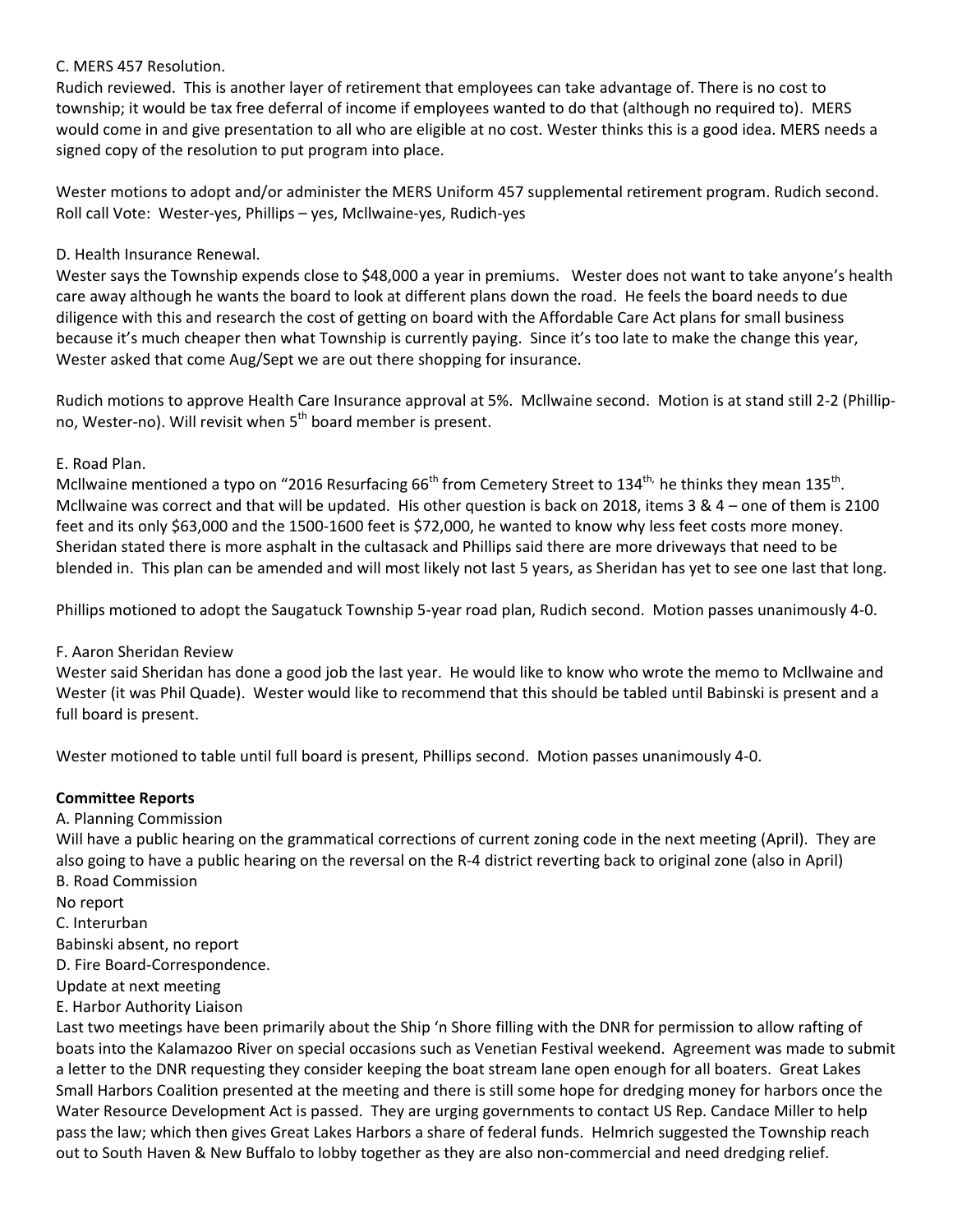### C. MERS 457 Resolution.

Rudich reviewed. This is another layer of retirement that employees can take advantage of. There is no cost to township; it would be tax free deferral of income if employees wanted to do that (although no required to). MERS would come in and give presentation to all who are eligible at no cost. Wester thinks this is a good idea. MERS needs a signed copy of the resolution to put program into place.

Wester motions to adopt and/or administer the MERS Uniform 457 supplemental retirement program. Rudich second. Roll call Vote: Wester-yes, Phillips – yes, Mcllwaine-yes, Rudich-yes

## D. Health Insurance Renewal.

Wester says the Township expends close to \$48,000 a year in premiums. Wester does not want to take anyone's health care away although he wants the board to look at different plans down the road. He feels the board needs to due diligence with this and research the cost of getting on board with the Affordable Care Act plans for small business because it's much cheaper then what Township is currently paying. Since it's too late to make the change this year, Wester asked that come Aug/Sept we are out there shopping for insurance.

Rudich motions to approve Health Care Insurance approval at 5%. Mcllwaine second. Motion is at stand still 2-2 (Phillipno, Wester-no). Will revisit when  $5<sup>th</sup>$  board member is present.

## E. Road Plan.

Mcllwaine mentioned a typo on "2016 Resurfacing 66<sup>th</sup> from Cemetery Street to 134<sup>th,</sup> he thinks they mean 135<sup>th</sup>. Mcllwaine was correct and that will be updated. His other question is back on 2018, items 3 &  $4$  – one of them is 2100 feet and its only \$63,000 and the 1500-1600 feet is \$72,000, he wanted to know why less feet costs more money. Sheridan stated there is more asphalt in the cultasack and Phillips said there are more driveways that need to be blended in. This plan can be amended and will most likely not last 5 years, as Sheridan has yet to see one last that long.

Phillips motioned to adopt the Saugatuck Township 5-year road plan, Rudich second. Motion passes unanimously 4-0.

# F. Aaron Sheridan Review

Wester said Sheridan has done a good job the last year. He would like to know who wrote the memo to Mcllwaine and Wester (it was Phil Quade). Wester would like to recommend that this should be tabled until Babinski is present and a full board is present.

Wester motioned to table until full board is present, Phillips second. Motion passes unanimously 4-0.

### **Committee Reports**

A. Planning Commission

Will have a public hearing on the grammatical corrections of current zoning code in the next meeting (April). They are also going to have a public hearing on the reversal on the R-4 district reverting back to original zone (also in April) B. Road Commission

No report

C. Interurban

Babinski absent, no report

D. Fire Board-Correspondence.

Update at next meeting

E. Harbor Authority Liaison

Last two meetings have been primarily about the Ship 'n Shore filling with the DNR for permission to allow rafting of boats into the Kalamazoo River on special occasions such as Venetian Festival weekend. Agreement was made to submit a letter to the DNR requesting they consider keeping the boat stream lane open enough for all boaters. Great Lakes Small Harbors Coalition presented at the meeting and there is still some hope for dredging money for harbors once the Water Resource Development Act is passed. They are urging governments to contact US Rep. Candace Miller to help pass the law; which then gives Great Lakes Harbors a share of federal funds. Helmrich suggested the Township reach out to South Haven & New Buffalo to lobby together as they are also non-commercial and need dredging relief.